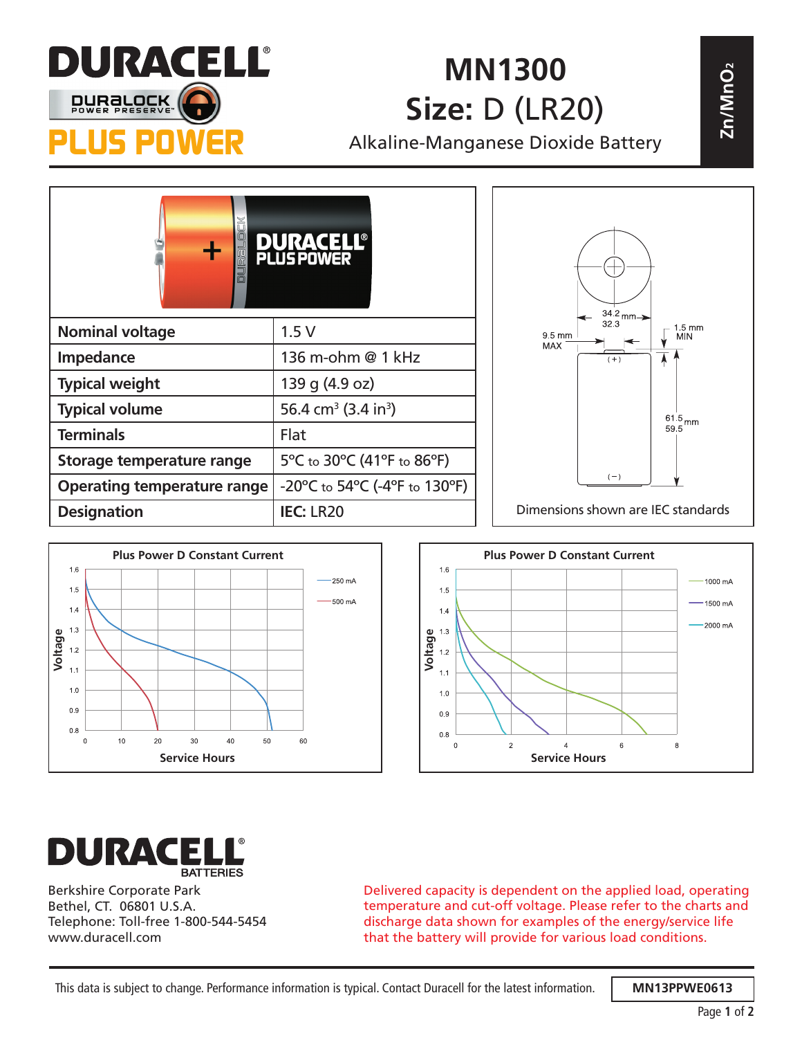

## **MN1300 Size:** D (LR20)

| 7. JINA SELE<br><b>DURBLOCK</b><br>POW | MN1300<br>2n/MnO <sub>2</sub><br><b>Size: D (LR20)</b><br>Alkaline-Manganese Dioxide Battery |                                                                            |  |
|----------------------------------------|----------------------------------------------------------------------------------------------|----------------------------------------------------------------------------|--|
|                                        | <b>PLUS POWER</b>                                                                            |                                                                            |  |
| <b>Nominal voltage</b>                 | 1.5V                                                                                         | $34.2$ mm $\rightarrow$<br>32.3<br>$1.5$ mm<br>9.5 mm<br>MIN<br><b>MAX</b> |  |
| Impedance                              | 136 m-ohm @ 1 kHz                                                                            | $(+)$                                                                      |  |
| <b>Typical weight</b>                  | 139 g (4.9 oz)                                                                               |                                                                            |  |
| <b>Typical volume</b>                  | 56.4 cm <sup>3</sup> (3.4 in <sup>3</sup> )                                                  | $61.5_{\rm \,mm}$                                                          |  |
| <b>Terminals</b>                       | Flat                                                                                         | 59.5                                                                       |  |
| Storage temperature range              | 5°C to 30°C (41°F to 86°F)                                                                   |                                                                            |  |
| <b>Operating temperature range</b>     | $-20^{\circ}$ C to 54 $^{\circ}$ C (-4 $^{\circ}$ F to 130 $^{\circ}$ F)                     | $(-)$                                                                      |  |
| <b>Designation</b>                     | <b>IEC: LR20</b>                                                                             | Dimensions shown are IEC standards                                         |  |







Berkshire Corporate Park Bethel, CT. 06801 U.S.A. Telephone: Toll-free 1-800-544-5454 www.duracell.com

Delivered capacity is dependent on the applied load, operating temperature and cut-off voltage. Please refer to the charts and discharge data shown for examples of the energy/service life that the battery will provide for various load conditions.